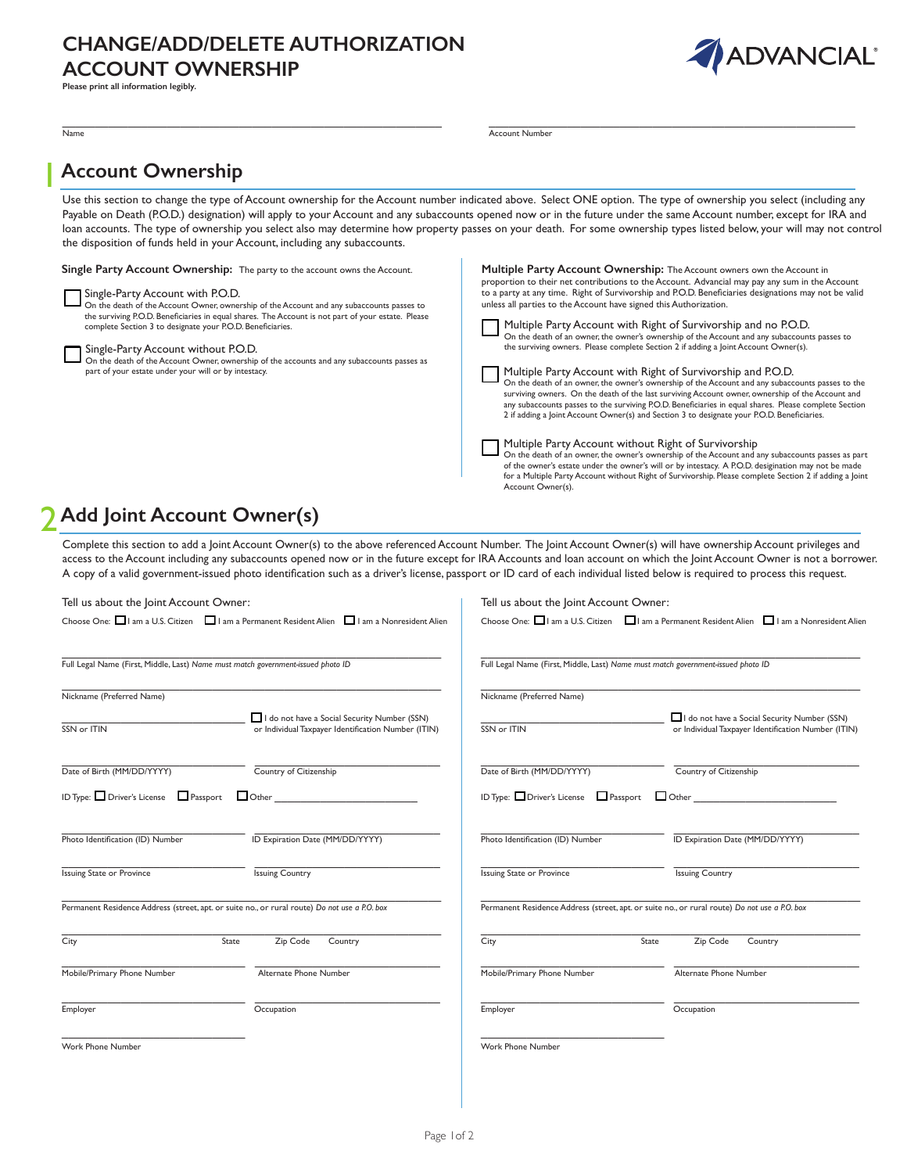## **CHANGE/ADD/DELETE AUTHORIZATION ACCOUNT OWNERSHIP**



**Please print all information legibly.** 

| Name                                                                                                                                                                                                                                                                                                                                                                                                                                                                                                                                                                         | <b>Account Number</b>                                                                                                                                                                                                                                                                                                                                                                                                                                                                                                                                                                                                                                                                                                                                                                                                                                                                                                                                                                                                                                                                                                                                                                                                                                                                                                                                                                                                                                                                               |
|------------------------------------------------------------------------------------------------------------------------------------------------------------------------------------------------------------------------------------------------------------------------------------------------------------------------------------------------------------------------------------------------------------------------------------------------------------------------------------------------------------------------------------------------------------------------------|-----------------------------------------------------------------------------------------------------------------------------------------------------------------------------------------------------------------------------------------------------------------------------------------------------------------------------------------------------------------------------------------------------------------------------------------------------------------------------------------------------------------------------------------------------------------------------------------------------------------------------------------------------------------------------------------------------------------------------------------------------------------------------------------------------------------------------------------------------------------------------------------------------------------------------------------------------------------------------------------------------------------------------------------------------------------------------------------------------------------------------------------------------------------------------------------------------------------------------------------------------------------------------------------------------------------------------------------------------------------------------------------------------------------------------------------------------------------------------------------------------|
| <b>Account Ownership</b>                                                                                                                                                                                                                                                                                                                                                                                                                                                                                                                                                     |                                                                                                                                                                                                                                                                                                                                                                                                                                                                                                                                                                                                                                                                                                                                                                                                                                                                                                                                                                                                                                                                                                                                                                                                                                                                                                                                                                                                                                                                                                     |
| the disposition of funds held in your Account, including any subaccounts.                                                                                                                                                                                                                                                                                                                                                                                                                                                                                                    | Use this section to change the type of Account ownership for the Account number indicated above. Select ONE option. The type of ownership you select (including any<br>Payable on Death (P.O.D.) designation) will apply to your Account and any subaccounts opened now or in the future under the same Account number, except for IRA and<br>loan accounts. The type of ownership you select also may determine how property passes on your death. For some ownership types listed below, your will may not control                                                                                                                                                                                                                                                                                                                                                                                                                                                                                                                                                                                                                                                                                                                                                                                                                                                                                                                                                                                |
| Single Party Account Ownership: The party to the account owns the Account.<br>Single-Party Account with P.O.D.<br>On the death of the Account Owner, ownership of the Account and any subaccounts passes to<br>the surviving P.O.D. Beneficiaries in equal shares. The Account is not part of your estate. Please<br>complete Section 3 to designate your P.O.D. Beneficiaries.<br>Single-Party Account without P.O.D.<br>On the death of the Account Owner, ownership of the accounts and any subaccounts passes as<br>part of your estate under your will or by intestacy. | Multiple Party Account Ownership: The Account owners own the Account in<br>proportion to their net contributions to the Account. Advancial may pay any sum in the Account<br>to a party at any time. Right of Survivorship and P.O.D. Beneficiaries designations may not be valid<br>unless all parties to the Account have signed this Authorization.<br>Multiple Party Account with Right of Survivorship and no P.O.D.<br>On the death of an owner, the owner's ownership of the Account and any subaccounts passes to<br>the surviving owners. Please complete Section 2 if adding a Joint Account Owner(s).<br>Multiple Party Account with Right of Survivorship and P.O.D.<br>On the death of an owner, the owner's ownership of the Account and any subaccounts passes to the<br>surviving owners. On the death of the last surviving Account owner, ownership of the Account and<br>any subaccounts passes to the surviving P.O.D. Beneficiaries in equal shares. Please complete Section<br>2 if adding a Joint Account Owner(s) and Section 3 to designate your P.O.D. Beneficiaries.<br>Multiple Party Account without Right of Survivorship<br>On the death of an owner, the owner's ownership of the Account and any subaccounts passes as part<br>of the owner's estate under the owner's will or by intestacy. A P.O.D. desigination may not be made<br>for a Multiple Party Account without Right of Survivorship. Please complete Section 2 if adding a Joint<br>Account Owner(s). |
| Add Joint Account Owner(s)                                                                                                                                                                                                                                                                                                                                                                                                                                                                                                                                                   |                                                                                                                                                                                                                                                                                                                                                                                                                                                                                                                                                                                                                                                                                                                                                                                                                                                                                                                                                                                                                                                                                                                                                                                                                                                                                                                                                                                                                                                                                                     |
| A copy of a valid government-issued photo identification such as a driver's license, passport or ID card of each individual listed below is required to process this request.                                                                                                                                                                                                                                                                                                                                                                                                | Complete this section to add a Joint Account Owner(s) to the above referenced Account Number. The Joint Account Owner(s) will have ownership Account privileges and<br>access to the Account including any subaccounts opened now or in the future except for IRA Accounts and loan account on which the Joint Account Owner is not a borrower.                                                                                                                                                                                                                                                                                                                                                                                                                                                                                                                                                                                                                                                                                                                                                                                                                                                                                                                                                                                                                                                                                                                                                     |
| Tell us about the Joint Account Owner:                                                                                                                                                                                                                                                                                                                                                                                                                                                                                                                                       | Tell us about the Joint Account Owner:                                                                                                                                                                                                                                                                                                                                                                                                                                                                                                                                                                                                                                                                                                                                                                                                                                                                                                                                                                                                                                                                                                                                                                                                                                                                                                                                                                                                                                                              |
| Choose One: I am a U.S. Citizen I am a Permanent Resident Alien I am a Nonresident Alien                                                                                                                                                                                                                                                                                                                                                                                                                                                                                     | Choose One: I am a U.S. Citizen I am a Permanent Resident Alien I am a Nonresident Alien                                                                                                                                                                                                                                                                                                                                                                                                                                                                                                                                                                                                                                                                                                                                                                                                                                                                                                                                                                                                                                                                                                                                                                                                                                                                                                                                                                                                            |
| Full Legal Name (First, Middle, Last) Name must match government-issued photo ID                                                                                                                                                                                                                                                                                                                                                                                                                                                                                             | Full Legal Name (First, Middle, Last) Name must match government-issued photo ID                                                                                                                                                                                                                                                                                                                                                                                                                                                                                                                                                                                                                                                                                                                                                                                                                                                                                                                                                                                                                                                                                                                                                                                                                                                                                                                                                                                                                    |

| Tell us about the Joint Account Owner:                                                        | Tell us about the Joint Account Owner:                                                        |  |
|-----------------------------------------------------------------------------------------------|-----------------------------------------------------------------------------------------------|--|
| Choose One: I am a U.S. Citizen I am a Permanent Resident Alien I am a Nonresident Alien      | Choose One: I am a U.S. Citizen I am a Permanent Resident Alien I am a Nonresident Alie       |  |
| Full Legal Name (First, Middle, Last) Name must match government-issued photo ID              | Full Legal Name (First, Middle, Last) Name must match government-issued photo ID              |  |
| Nickname (Preferred Name)                                                                     | Nickname (Preferred Name)                                                                     |  |
| I do not have a Social Security Number (SSN)                                                  | I do not have a Social Security Number (SSN)                                                  |  |
| SSN or ITIN                                                                                   | SSN or ITIN                                                                                   |  |
| or Individual Taxpayer Identification Number (ITIN)                                           | or Individual Taxpayer Identification Number (ITIN)                                           |  |
| Country of Citizenship                                                                        | Country of Citizenship                                                                        |  |
| Date of Birth (MM/DD/YYYY)                                                                    | Date of Birth (MM/DD/YYYY)                                                                    |  |
| ID Type: $\Box$ Driver's License $\Box$ Passport $\Box$ Other                                 | ID Type: Driver's License $\Box$ Passport $\Box$ Other                                        |  |
| ID Expiration Date (MM/DD/YYYY)                                                               | Photo Identification (ID) Number                                                              |  |
| Photo Identification (ID) Number                                                              | ID Expiration Date (MM/DD/YYYY)                                                               |  |
| <b>Issuing Country</b>                                                                        | <b>Issuing State or Province</b>                                                              |  |
| <b>Issuing State or Province</b>                                                              | <b>Issuing Country</b>                                                                        |  |
| Permanent Residence Address (street, apt. or suite no., or rural route) Do not use a P.O. box | Permanent Residence Address (street, apt. or suite no., or rural route) Do not use a P.O. box |  |
| Zip Code                                                                                      | Zip Code                                                                                      |  |
| City                                                                                          | City                                                                                          |  |
| Country                                                                                       | Country                                                                                       |  |
| State                                                                                         | State                                                                                         |  |
| Mobile/Primary Phone Number                                                                   | Mobile/Primary Phone Number                                                                   |  |
| Alternate Phone Number                                                                        | Alternate Phone Number                                                                        |  |
| Occupation                                                                                    | Occupation                                                                                    |  |
| Employer                                                                                      | Employer                                                                                      |  |
| <b>Work Phone Number</b>                                                                      | Work Phone Number                                                                             |  |

| Nickname (Preferred Name)                              |                                                                                                     |  |  |
|--------------------------------------------------------|-----------------------------------------------------------------------------------------------------|--|--|
| SSN or ITIN                                            | I do not have a Social Security Number (SSN)<br>or Individual Taxpayer Identification Number (ITIN) |  |  |
| Date of Birth (MM/DD/YYYY)                             | Country of Citizenship                                                                              |  |  |
| ID Type: □ Driver's License □ Passport<br>$\Box$ Other |                                                                                                     |  |  |
| Photo Identification (ID) Number                       | ID Expiration Date (MM/DD/YYYY)                                                                     |  |  |
| <b>Issuing State or Province</b>                       | <b>Issuing Country</b>                                                                              |  |  |
|                                                        | Permanent Residence Address (street, apt. or suite no., or rural route) Do not use a P.O. box       |  |  |
| City                                                   | Zip Code<br>State<br>Country                                                                        |  |  |
| Mobile/Primary Phone Number                            | Alternate Phone Number                                                                              |  |  |
| Employer                                               | Occupation                                                                                          |  |  |
|                                                        |                                                                                                     |  |  |